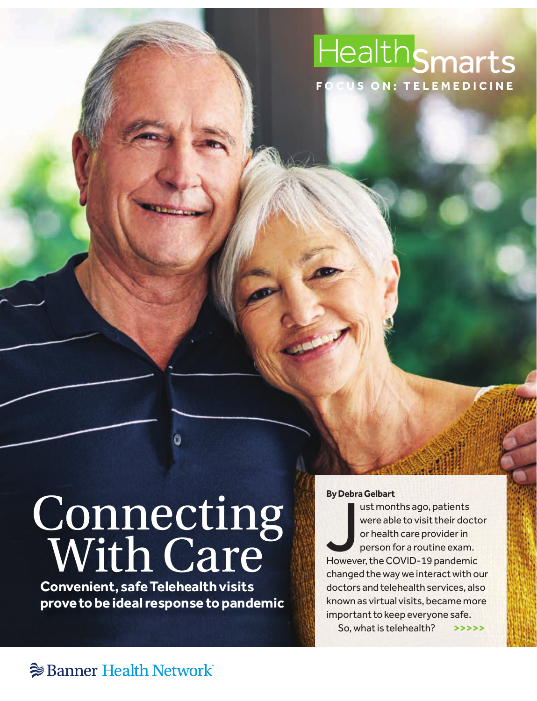### Health<sub>Smarts</sub> **FOCUS ON: TELEMEDICINE**

## **Connecting** With Care

**Convenient, safe Telehealth visits prove to be ideal response to pandemic**

#### **By Debra Gelbart**

ust months ago, patients<br>were able to visit their doctor<br>or health care provider in<br>person for a routine exam.<br>However, the COVID-19 pandemic ust months ago, patients were able to visit their doctor or health care provider in person for a routine exam. changed the way we interact with our doctors and telehealth services, also known as virtual visits, became more important to keep everyone safe. So, what is telehealth? **>>>>>**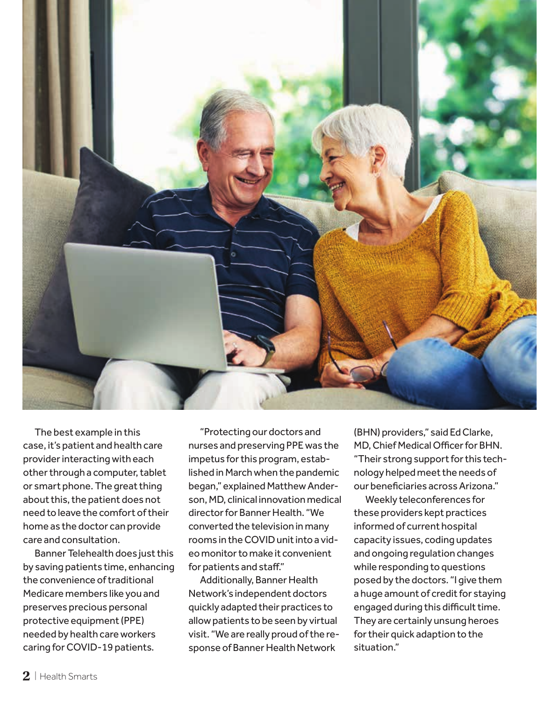

The best example in this case, it's patient and health care provider interacting with each other through a computer, tablet or smart phone. The great thing about this, the patient does not need to leave the comfort of their home as the doctor can provide care and consultation.

Banner Telehealth does just this by saving patients time, enhancing the convenience of traditional Medicare members like you and preserves precious personal protective equipment (PPE) needed by health care workers caring for COVID-19 patients.

"Protecting our doctors and nurses and preserving PPE was the impetus for this program, established in March when the pandemic began," explained Matthew Anderson, MD, clinical innovation medical director for Banner Health. "We converted the television in many rooms in the COVID unit into a video monitor to make it convenient for patients and staff."

Additionally, Banner Health Network's independent doctors quickly adapted their practices to allow patients to be seen by virtual visit. "We are really proud of the response of Banner Health Network

(BHN) providers," said Ed Clarke, MD, Chief Medical Officer for BHN. "Their strong support for this technology helped meet the needs of our beneficiaries across Arizona."

Weekly teleconferences for these providers kept practices informed of current hospital capacity issues, coding updates and ongoing regulation changes while responding to questions posed by the doctors. "I give them a huge amount of credit for staying engaged during this difficult time. They are certainly unsung heroes for their quick adaption to the situation."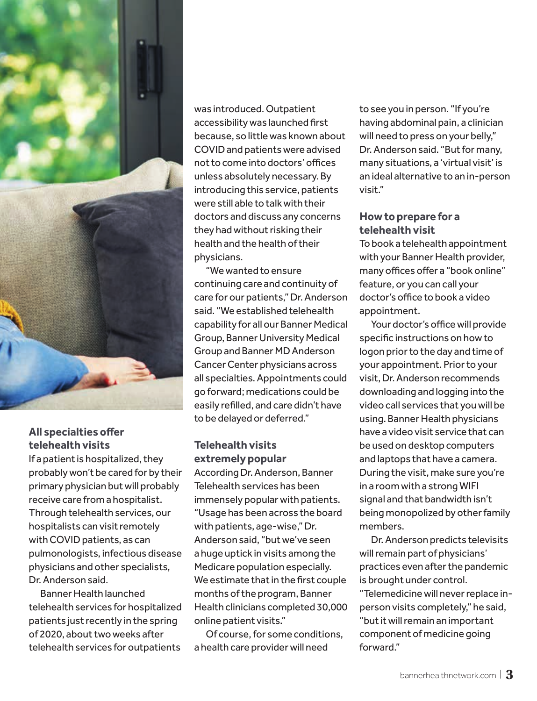

#### **All specialties offer telehealth visits**

If a patient is hospitalized, they probably won't be cared for by their primary physician but will probably receive care from a hospitalist. Through telehealth services, our hospitalists can visit remotely with COVID patients, as can pulmonologists, infectious disease physicians and other specialists, Dr. Anderson said.

Banner Health launched telehealth services for hospitalized patients just recently in the spring of 2020, about two weeks after telehealth services for outpatients

was introduced. Outpatient accessibility was launched first because, so little was known about COVID and patients were advised not to come into doctors' offices unless absolutely necessary. By introducing this service, patients were still able to talk with their doctors and discuss any concerns they had without risking their health and the health of their physicians.

"We wanted to ensure continuing care and continuity of care for our patients," Dr. Anderson said. "We established telehealth capability for all our Banner Medical Group, Banner University Medical Group and Banner MD Anderson Cancer Center physicians across all specialties. Appointments could go forward; medications could be easily refilled, and care didn't have to be delayed or deferred."

#### **Telehealth visits extremely popular**

According Dr. Anderson, Banner Telehealth services has been immensely popular with patients. "Usage has been across the board with patients, age-wise," Dr. Anderson said, "but we've seen a huge uptick in visits among the Medicare population especially. We estimate that in the first couple months of the program, Banner Health clinicians completed 30,000 online patient visits."

Of course, for some conditions, a health care provider will need

to see you in person. "If you're having abdominal pain, a clinician will need to press on your belly," Dr. Anderson said. "But for many, many situations, a 'virtual visit' is an ideal alternative to an in-person visit."

#### **How to prepare for a telehealth visit**

To book a telehealth appointment with your Banner Health provider, many offices offer a "book online" feature, or you can call your doctor's office to book a video appointment.

Your doctor's office will provide specific instructions on how to logon prior to the day and time of your appointment. Prior to your visit, Dr. Anderson recommends downloading and logging into the video call services that you will be using. Banner Health physicians have a video visit service that can be used on desktop computers and laptops that have a camera. During the visit, make sure you're in a room with a strong WIFI signal and that bandwidth isn't being monopolized by other family members.

Dr. Anderson predicts televisits will remain part of physicians' practices even after the pandemic is brought under control.

"Telemedicine will never replace inperson visits completely," he said, "but it will remain an important component of medicine going forward."